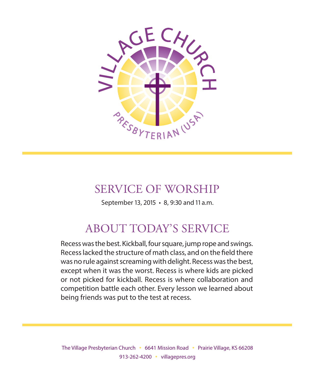

# SERVICE OF WORSHIP

September 13, 2015 • 8, 9:30 and 11 a.m.

# ABOUT TODAY'S SERVICE

Recess was the best. Kickball, four square, jump rope and swings. Recess lacked the structure of math class, and on the field there was no rule against screaming with delight. Recess was the best, except when it was the worst. Recess is where kids are picked or not picked for kickball. Recess is where collaboration and competition battle each other. Every lesson we learned about being friends was put to the test at recess.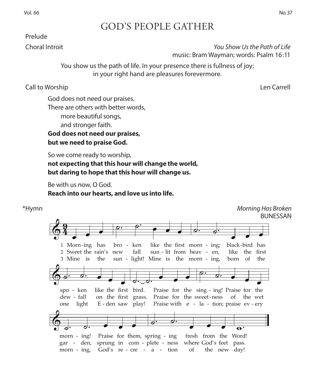## GOD'S PEOPLE GATHER

### Prelude

 Choral Introit *You Show Us the Path of Life* music: Bram Wayman; words: Psalm 16:11

> You show us the path of life. In your presence there is fullness of joy; in your right hand are pleasures forevermore.

Call to Worship Len Carrell

God does not need our praises. There are others with better words, more beautiful songs, and stronger faith. **God does not need our praises, but we need to praise God.**

So we come ready to worship, not expecting that this hour will change the world, **but daring to hope that this hour will change us.**  664-morning has broken.mus, Page 1

Be with us now, O God. **Reach into our hearts, and love us into life.**  Morning Has Broken d.<br>ts and love us into life

### \*Hymn *Morning Has Broken* 664 **BUNESSAN**  $\oint$  $\boldsymbol{9}$  $\overline{\cdot}$ 1 Morn-ing has 2 Sweet the rain's new 3 Mine is the  $\circ$   $\circ$   $\bullet$   $\bullet$   $\bullet$ sun - light! Mine is the morn - ing, bo bro - ken  $\operatorname{fall}$ fall  $\int \sin^{-1} x \sin x \, dx$  -  $\sin^{-1} x \sin x \, dx$  -  $\sin^{-1} x \sin x \, dx$ -ing has bro - ken like the first morn - ing; black- $\frac{\partial}{\partial t}$ . born of like the first black-bird has the & . . <sup>œ</sup> <sup>œ</sup> <sup>œ</sup> like the -"#\$ bird. on the -"#\$ grass. one one  $d$ ew - fall light light E E - den saw play! on the first grass. den saw —<del>———————————</del> **Example 1999.**<br>
For the first bird. Praise for the sing - ing! Praise for the<br>
following the first graves. Praise for the sweet ness of the water play! Praise r raise with  $e - ia - t$  ton, prai - fall on the first grass. Praise for the sweet-ness of the  $+$ e  $\overline{1}$  contracts the contract of  $\overline{1}$ la tion;  $\overline{p}$  $\frac{01}{1}$ ev light  $E$  - den saw play! Praise with  $e$  - la - tion; praise  $ev$  - ery the wet ery  $\overline{\phantom{a}}$   $\overline{\phantom{a}}$ - - - morn - ing! Praise for them, spring - ing fresh from the Word!<br>gar - den, sprung in com - plete - ness where God's feet pass.<br>morn - ing God's re - cre - a - tion of the new day! morn - ing,  $-$  ing, God's re  $-$  cre  $-$  a  $-$  tion  $\overline{\phantom{a}}$  d.  $\overline{\phantom{a}}$ fresh the new day!  $\overline{\phantom{a}}$  $\overline{\bullet}$ .  $\sqrt{9}$  $\frac{1}{\sqrt{1-\frac{1}{2}}\sqrt{1-\frac{1}{2}}\sqrt{1-\frac{1}{2}}\sqrt{1-\frac{1}{2}}}}$ 1  $\overline{\bullet}$  $\bullet$ has  $\overline{e}$   $\overline{e}$   $\overline{e}$   $\overline{e}$   $\overline{e}$   $\overline{e}$   $\overline{e}$   $\overline{e}$   $\overline{e}$   $\overline{e}$   $\overline{e}$   $\overline{e}$   $\overline{e}$   $\overline{e}$   $\overline{e}$   $\overline{e}$   $\overline{e}$   $\overline{e}$   $\overline{e}$   $\overline{e}$   $\overline{e}$   $\overline{e}$   $\overline{e}$   $\overline{e}$   $\overline{$  $\top$  $\overline{a}$ like the  $\overline{\phantom{a}}$  $\overline{\phantom{a}}$  .  $\overline{\phantom{a}}$  .  $\overline{\phantom{a}}$ morn ing;  $\overline{\phantom{a}}$  $\overline{\bullet}$  $\overline{\phantom{a}}$ - - - -  $\oint e^{i\omega t}$ spo - ken Em Am Em F  $\overline{c}$ .  $\overline{c}$   $\overline{c}$   $\overline{c}$  $\begin{array}{ccc} \circ & \circ & \bullet & \bullet \end{array}$ of & . . <sup>œ</sup> <sup>œ</sup> <sup>œ</sup> Praise for them, spring ing - -  $\overline{A}$  $r_{\text{ring}}$  - ing fresh from the Word! of G Am Great Ann an Dùbhlachd ann an 1970.<br>Gallaig an Dùbhlachd ann an 1971 an Dùbhlachd ann an 1971 ann an 1972 ann an 1972 an 1972 ann an 1972 ann an 1 C  $\ddot{a}$ 1 2  $\overline{\phantom{a}}$  $\overline{\phantom{0}}$  $\bullet$ ing  $\overline{\phantom{a}}$ has new  $\overline{\rho}$  $\pm$  $\overline{P}$ sun  $\overline{\bullet}$ lit  $\overline{\phantom{a}}$  $\overline{\phantom{a}}$  $\equiv$ ا Morning<br>E<br>E heav  $\overline{a}$ .  $\overline{ }$ ing;  $\overline{\phantom{a}}$  $\overline{1}$  $\overline{\phantom{a}}$ bird  $\overline{\ }$ has - -  $\overline{\phantom{a}}$   $\overline{\phantom{a}}$   $\overline{\phantom{a}}$   $\overline{\phantom{a}}$   $\overline{\phantom{a}}$   $\overline{\phantom{a}}$   $\overline{\phantom{a}}$   $\overline{\phantom{a}}$   $\overline{\phantom{a}}$   $\overline{\phantom{a}}$   $\overline{\phantom{a}}$   $\overline{\phantom{a}}$   $\overline{\phantom{a}}$   $\overline{\phantom{a}}$   $\overline{\phantom{a}}$   $\overline{\phantom{a}}$   $\overline{\phantom{a}}$   $\overline{\phantom{a}}$   $\overline{\$  $\&$  . . . spo ken like  $\bullet$  $\overline{\bullet}$ . . œ œ œ  $\sigma$ .  $\overline{\phantom{a}}$ Praise  $\bullet$ the G C . . <sup>œ</sup> <sup>œ</sup> <sup>œ</sup> sing ing! Praise  $\bullet$  $\overline{\bullet}$ - -  $\bigcirc$  . . . . . morn - ing!  $\overline{Q}$  $\frac{1}{\sigma}$ .  $\frac{1}{\sigma}$ .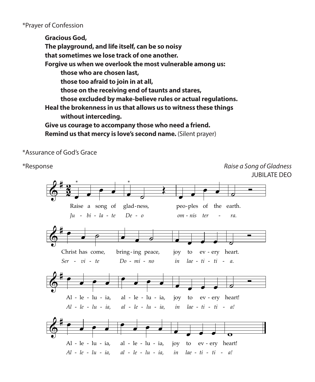\*Prayer of Confession

**Gracious God, The playground, and life itself, can be so noisy that sometimes we lose track of one another. Forgive us when we overlook the most vulnerable among us: those who are chosen last, those too afraid to join in at all, those on the receiving end of taunts and stares, those excluded by make-believe rules or actual regulations. Heal the brokenness in us that allows us to witness these things without interceding. Give us courage to accompany those who need a friend. Remind us that mercy is love's second name.** (Silent prayer) 155-raise a song-753.mus, Page 1

\*Assurance of God's Grace 155

\*Response *Raise a Song of Gladness* JUBILATE DEO  $\delta^*$  $\frac{2}{3}$ <u>ջ</u>  $\overline{\phantom{a}}$  $\overline{\cdot}$   $\overline{\cdot}$ *Ju bi la te De o - - - - - ra.* Raise a song of glad ness, - - \*  $\overline{\phantom{a}}$ Œ \*  $\overline{\phantom{a}}$  $\overline{\cdot}$   $\overline{\cdot}$ *om nis ter* peo ples of the earth.  $\overline{\phantom{0}}$ *-*  $6 +$  $\qquad \qquad \bullet$ Christ has come, *Ser* - *vi* - *te*  $\bullet$   $\bullet$   $\circ$ bring-ing peace, joy to ev -*Do mi no* œ œ œ œ joy *in* to ev-ery heart. *lae ti ti - - - - a. - - -* **<u></u>**  $6 +$  $\overrightarrow{e}$ Al - le - lu - ia, *Al le lu ia, al le lu ia, - - - - - - a! - -*  œ  $\overrightarrow{e}$   $\overrightarrow{e}$ - le - lu - ia, al - le - lu - ia, joy to ev œ œ œ œ joy to ev-ery heart! *in lae ti ti*  $\overline{\phantom{0}}$  $6 +$  $\overrightarrow{e}$ Al - le - lu - ia*, Al le lu ia, al le lu ia, in lae ti ti - - - - - - a! - -*  œ  $\qquad \qquad \bullet$ - le - lu - ia, al - le - lu - ia, joy to ev œ œ œ œ joy to ev-ery heart!  $\overline{\mathbf{o}}$ Raise a Song of Gladness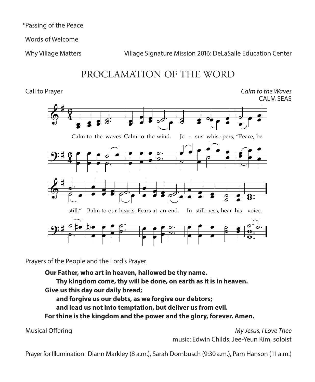\*Passing of the Peace

Words of Welcome

Why Village Matters Village Signature Mission 2016: DeLaSalle Education Center

# PROCLAMATION OF THE WORD

 Call to Prayer *Calm to the Waves* CALM SEAS Calm to the Calm to the Calm to the Calm to the Calm to the Calm to the Calm to the Calm to the Calm to the Ca



Prayers of the People and the Lord's Prayer

Our Father, who art in heaven, hallowed be thy name<mark>.</mark> Thy kingdom come, thy will be done, on earth as it is in heaven. **Give us this day our daily bread; and forgive us our debts, as we forgive our debtors; and lead us not into temptation, but deliver us from evil.**

 **For thine is the kingdom and the power and the glory, forever. Amen.**

 Musical Offering *My Jesus, I Love Thee* music: Edwin Childs; Jee-Yeun Kim, soloist

Prayer for Illumination Diann Markley (8 a.m.), Sarah Dornbusch (9:30 a.m.), Pam Hanson (11 a.m.)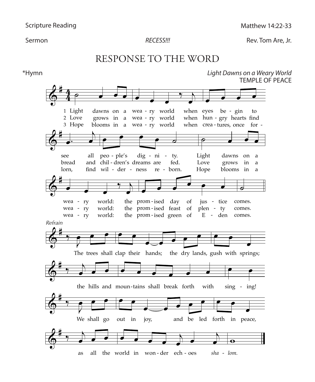$\overline{9}$ 

 $\overline{9}$ 

 $\Gamma$ 

meers on a Weary World Dawns on a Weary World Dawns on a Weary World Dawns on a Weary World Dawns on a Weary World Dawns on a Weary World Dawns on a Weary World Dawns on a Weary World Dawns on a Weary World Dawns on a Wear RECESS!!!

**Sermon RECESS!!!** RECESS!!! RECESS: Rev. Tom Are, Jr.

### RESPONSE TO THE WORD RESPONSE TO THE WORD G D  $\sim$   $\sim$   $\sim$   $\sim$ C RESPONSE TO THE WORD  $\frac{1}{2}$  $\mathbf{r}$  w  $CDTO$   $TITID$   $WLO$

\*Hymn *Light Dawns on a Weary World* Light Dawns on a Weary World C TEMPLE OF PEACE Light Dawns on a<br>TEMP בצע<br>Light Dawns on a<br>דבאם

*lom.*

 $\overline{ }$  -  $\overline{ }$   $\overline{ }$  -  $\overline{ }$   $\overline{ }$  -  $\overline{ }$   $\overline{ }$  -  $\overline{ }$   $\overline{ }$  -  $\overline{ }$   $\overline{ }$  -  $\overline{ }$   $\overline{ }$  -  $\overline{ }$  -  $\overline{ }$  -  $\overline{ }$  -  $\overline{ }$  -  $\overline{ }$  -  $\overline{ }$  -  $\overline{ }$  -  $\overline{ }$  -  $\overline{ }$  -  $\overline{ }$  -  $\over$ 

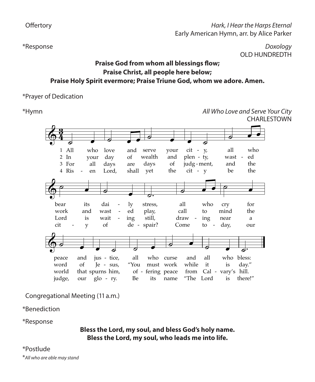### Hark, *I Hear the Harps Eternal*<br>Fark, American Hymn arr by Alice Parker Early American Hymn, arr. by Alice Parker œ œ .<br>د ا ۹ ו<br>Cc E<br>C κ<br>Η œ e<br>ገ, œ "<br>⊾ *Hark, I He*<br>,arly American Hymn

\*Response *Doxology* OLD HUNDREDTH

### **Praise God from whom all blessings flow; Praise Christ, all people here below; Praise Holy Spirit evermore; Praise Triune God, whom we adore. Amen.**

### \*Prayer of Dedication  $\frac{1}{2}$

\*Hymn *All Who Love and Serve Your City*  All Who Love and Serve Your City 351 Em **CHARLESTOWN** All March 2012 and Server World Who Love and Server World War City 3511 and Server World War City 3511 and Server W<br>The Server World War City 3511 and Server World War City 3511 and Server World War City 3511 and Server Wo



Congregational Meeting (11 a.m.) *Guitar chords do not correspond with keyboard harmony.*

\*Benediction *Guitar chords do not correspond with keyboard harmony.*

\*Response

Bless the Lord, my soul, and bless God's holy name. Bless the Lord, my soul, who leads me into life. se<br>Bless the Lord, my soul, and bless God's holy name. Bless the Lord, my soul, who leads me into life.

### $*$ Postlude  $\mathcal{L}_\mathcal{L} = \mathcal{L}_\mathcal{L} = \mathcal{L}_\mathcal{L} = \mathcal{L}_\mathcal{L} = \mathcal{L}_\mathcal{L} = \mathcal{L}_\mathcal{L} = \mathcal{L}_\mathcal{L} = \mathcal{L}_\mathcal{L} = \mathcal{L}_\mathcal{L} = \mathcal{L}_\mathcal{L} = \mathcal{L}_\mathcal{L} = \mathcal{L}_\mathcal{L} = \mathcal{L}_\mathcal{L} = \mathcal{L}_\mathcal{L} = \mathcal{L}_\mathcal{L} = \mathcal{L}_\mathcal{L} = \mathcal{L}_\mathcal{L}$ MUSIC: *The United States Sacred Harmony,* 1799; harm. Carlton R. Young, 1964 *Text © 1969 Stainer & Bell, Ltd. (admin. Hope Publishing Company) Text © 1969 Stainer & Bell, Ltd. (admin. Hope Publishing Company) Music Harm. © 1965 Abingdon Press (admin. The Copyright Company)*

\**All who are able may stand Text © 1969 Stainer & Bell, Ltd. (admin. Hope Publishing Company) Music Harm. © 1965 Abingdon Press (admin. The Copyright Company)* 

Offertory

\*Response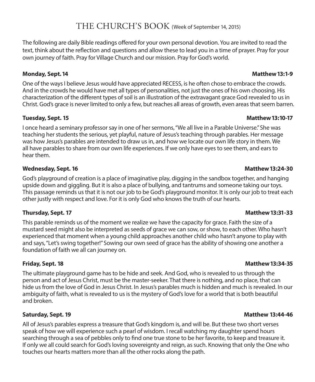The following are daily Bible readings offered for your own personal devotion. You are invited to read the text, think about the reflection and questions and allow these to lead you in a time of prayer. Pray for your own journey of faith. Pray for Village Church and our mission. Pray for God's world.

### **Monday, Sept. 14 Matthew 13:1-9**

One of the ways I believe Jesus would have appreciated RECESS, is he often chose to embrace the crowds. And in the crowds he would have met all types of personalities, not just the ones of his own choosing. His characterization of the different types of soil is an illustration of the extravagant grace God revealed to us in Christ. God's grace is never limited to only a few, but reaches all areas of growth, even areas that seem barren.

### **Tuesday, Sept. 15 Matthew 13:10-17**

I once heard a seminary professor say in one of her sermons, "We all live in a Parable Universe." She was teaching her students the serious, yet playful, nature of Jesus's teaching through parables. Her message was how Jesus's parables are intended to draw us in, and how we locate our own life story in them. We all have parables to share from our own life experiences. If we only have eyes to see them, and ears to hear them.

### **Wednesday, Sept. 16 Matthew 13:24-30**

God's playground of creation is a place of imaginative play, digging in the sandbox together, and hanging upside down and giggling. But it is also a place of bullying, and tantrums and someone taking our toys. This passage reminds us that it is not our job to be God's playground monitor. It is only our job to treat each other justly with respect and love. For it is only God who knows the truth of our hearts.

### **Thursday, Sept. 17 Matthew 13:31-33**

This parable reminds us of the moment we realize we have the capacity for grace. Faith the size of a mustard seed might also be interpreted as seeds of grace we can sow, or show, to each other. Who hasn't experienced that moment when a young child approaches another child who hasn't anyone to play with and says, "Let's swing together!" Sowing our own seed of grace has the ability of showing one another a foundation of faith we all can journey on.

The ultimate playground game has to be hide and seek. And God, who is revealed to us through the person and act of Jesus Christ, must be the master-seeker. That there is nothing, and no place, that can hide us from the love of God in Jesus Christ. In Jesus's parables much is hidden and much is revealed. In our ambiguity of faith, what is revealed to us is the mystery of God's love for a world that is both beautiful and broken.

All of Jesus's parables express a treasure that God's kingdom is, and will be. But these two short verses speak of how we will experience such a pearl of wisdom. I recall watching my daughter spend hours searching through a sea of pebbles only to find one true stone to be her favorite, to keep and treasure it. If only we all could search for God's loving sovereignty and reign, as such. Knowing that only the One who touches our hearts matters more than all the other rocks along the path.

### **Friday, Sept. 18 Matthew 13:34-35**

### **Saturday, Sept. 19 Matthew 13:44-46**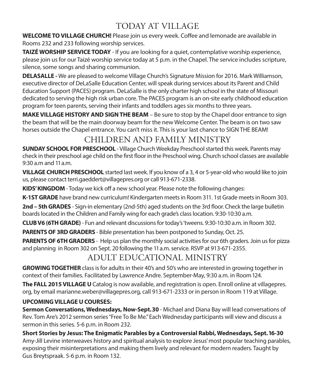## TODAY AT VILLAGE

**WELCOME TO VILLAGE CHURCH!** Please join us every week. Coffee and lemonade are available in Rooms 232 and 233 following worship services.

**TAIZÉ WORSHIP SERVICE TODAY** - If you are looking for a quiet, contemplative worship experience, please join us for our Taizé worship service today at 5 p.m. in the Chapel. The service includes scripture, silence, some songs and sharing communion.

**DELASALLE -** We are pleased to welcome Village Church's Signature Mission for 2016. Mark Williamson, executive director of DeLaSalle Education Center, will speak during services about its Parent and Child Education Support (PACES) program. DeLaSalle is the only charter high school in the state of Missouri dedicated to serving the high risk urban core. The PACES program is an on-site early childhood education program for teen parents, serving their infants and toddlers ages six months to three years.

**MAKE VILLAGE HISTORY AND SIGN THE BEAM** – Be sure to stop by the Chapel door entrance to sign the beam that will be the main doorway beam for the new Welcome Center. The beam is on two saw horses outside the Chapel entrance. You can't miss it. This is your last chance to SIGN THE BEAM!

## CHILDREN AND FAMILY MINISTRY

**SUNDAY SCHOOL FOR PRESCHOOL** - Village Church Weekday Preschool started this week. Parents may check in their preschool age child on the first floor in the Preschool wing. Church school classes are available 9:30 a.m and 11 a.m.

**VILLAGE CHURCH PRESCHOOL** started last week. If you know of a 3, 4 or 5-year-old who would like to join us, please contact terri.gaeddert@villagepres.org or call 913-671-2338.

**KIDS' KINGDOM** - Today we kick off a new school year. Please note the following changes:

**K-1ST GRADE** have brand new curriculum! Kindergarten meets in Room 311. 1st Grade meets in Room 303.

**2nd – 5th GRADES** - Sign-in elementary (2nd-5th) aged students on the 3rd floor. Check the large bulletin boards located in the Children and Family wing for each grade's class location. 9:30-10:30 a.m.

**CLUB V6 (6TH GRADE)** - Fun and relevant discussions for today's 'tweens. 9:30-10:30 a.m. in Room 302.

**PARENTS OF 3RD GRADERS** - Bible presentation has been postponed to Sunday, Oct. 25.

**PARENTS OF 6TH GRADERS** - Help us plan the monthly social activities for our 6th graders. Join us for pizza and planning in Room 302 on Sept. 20 following the 11 a.m. service. RSVP at 913-671-2355.

## ADULT EDUCATIONAL MINISTRY

**GROWING TOGETHER** class is for adults in their 40's and 50's who are interested in growing together in context of their families. Facilitated by Lawrence Andre. September-May, 9:30 a.m. in Room 124.

**The FALL 2015 VILLAGE U** Catalog is now available, and registration is open. Enroll online at villagepres. org, by email marianne.weber@villagepres.org, call 913-671-2333 or in person in Room 119 at Village.

### **UPCOMING VILLAGE U COURSES:**

**Sermon Conversations, Wednesdays, Now-Sept. 30** - Michael and Diana Bay will lead conversations of Rev. Tom Are's 2012 sermon series "Free To Be Me." Each Wednesday participants will view and discuss a sermon in this series. 5-6 p.m. in Room 232.

**Short Stories by Jesus: The Enigmatic Parables by a Controversial Rabbi, Wednesdays, Sept. 16-30** Amy-Jill Levine interweaves history and spiritual analysis to explore Jesus' most popular teaching parables, exposing their misinterpretations and making them lively and relevant for modern readers. Taught by Gus Breytspraak. 5-6 p.m. in Room 132.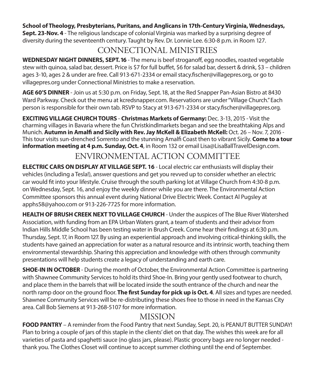### **School of Theology, Presbyterians, Puritans, and Anglicans in 17th-Century Virginia, Wednesdays,**

**Sept. 23-Nov. 4** - The religious landscape of colonial Virginia was marked by a surprising degree of diversity during the seventeenth century. Taught by Rev. Dr. Lonnie Lee. 6:30-8 p.m. in Room 127.

## CONNECTIONAL MINISTRIES

**WEDNESDAY NIGHT DINNERS, SEPT. 16** - The menu is beef stroganoff, egg noodles, roasted vegetable stew with quinoa, salad bar, dessert. Price is \$7 for full buffet, \$6 for salad bar, dessert & drink, \$3 – children ages 3-10, ages 2 & under are free. Call 913-671-2334 or email stacy.fischer@villagepres.org, or go to villagepres.org under Connectional Ministries to make a reservation.

**AGE 60'S DINNER** - Join us at 5:30 p.m. on Friday, Sept. 18, at the Red Snapper Pan-Asian Bistro at 8430 Ward Parkway. Check out the menu at kcredsnapper.com. Reservations are under "Village Church." Each person is responsible for their own tab. RSVP to Stacy at 913-671-2334 or stacy.fischer@villagepres.org.

**EXCITING VILLAGE CHURCH TOURS** - **Christmas Markets of Germany:** Dec. 3-13, 2015 - Visit the charming villages in Bavaria where the fun Christkindlmarkets began and see the breathtaking Alps and Munich. **Autumn in Amalfi and Sicily with Rev. Jay McKell & Elizabeth McKell:** Oct. 26 – Nov. 7, 2016 - This tour visits sun-drenched Sorrento and the stunning Amalfi Coast then to vibrant Sicily. **Come to a tour information meeting at 4 p.m. Sunday, Oct. 4**, in Room 132 or email Lisa@LisaBallTravelDesign.com.

### ENVIRONMENTAL ACTION COMMITTEE

**ELECTRIC CARS ON DISPLAY AT VILLAGE SEPT. 16** - Local electric car enthusiasts will display their vehicles (including a Tesla!), answer questions and get you revved up to consider whether an electric car would fit into your lifestyle. Cruise through the south parking lot at Village Church from 4:30-8 p.m. on Wednesday, Sept. 16, and enjoy the weekly dinner while you are there. The Environmental Action Committee sponsors this annual event during National Drive Electric Week. Contact Al Pugsley at apphs58@yahoo.com or 913-226-7725 for more information.

**HEALTH OF BRUSH CREEK NEXT TO VILLAGE CHURCH** - Under the auspices of The Blue River Watershed Association, with funding from an EPA Urban Waters grant, a team of students and their advisor from Indian Hills Middle School has been testing water in Brush Creek. Come hear their findings at 6:30 p.m. Thursday, Sept. 17, in Room 127. By using an experiential approach and involving critical-thinking skills, the students have gained an appreciation for water as a natural resource and its intrinsic worth, teaching them environmental stewardship. Sharing this appreciation and knowledge with others through community presentations will help students create a legacy of understanding and earth care.

**SHOE-IN IN OCTOBER** - During the month of October, the Environmental Action Committee is partnering with Shawnee Community Services to hold its third Shoe-In. Bring your gently used footwear to church, and place them in the barrels that will be located inside the south entrance of the church and near the north ramp door on the ground floor. **The first Sunday for pick up is Oct. 4**. All sizes and types are needed. Shawnee Community Services will be re-distributing these shoes free to those in need in the Kansas City area. Call Bob Siemens at 913-268-5107 for more information.

### MISSION

**FOOD PANTRY** – A reminder from the Food Pantry that next Sunday, Sept. 20, is PEANUT BUTTER SUNDAY! Plan to bring a couple of jars of this staple in the clients' diet on that day. The wishes this week are for all varieties of pasta and spaghetti sauce (no glass jars, please). Plastic grocery bags are no longer needed thank you. The Clothes Closet will continue to accept summer clothing until the end of September.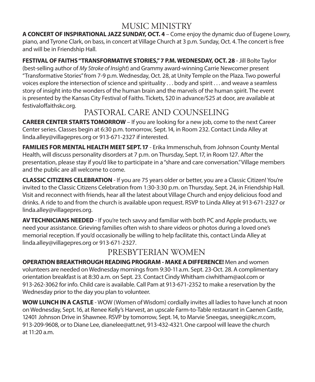## MUSIC MINISTRY

**A CONCERT OF INSPIRATIONAL JAZZ SUNDAY, OCT. 4** – Come enjoy the dynamic duo of Eugene Lowry, piano, and Tyrone Clark, on bass, in concert at Village Church at 3 p.m. Sunday, Oct. 4. The concert is free and will be in Friendship Hall.

**FESTIVAL OF FAITHS "TRANSFORMATIVE STORIES," 7 P.M. WEDNESDAY, OCT. 28** - Jill Bolte Taylor (best-selling author of *My Stroke of Insight*) and Grammy award-winning Carrie Newcomer present "Transformative Stories" from 7-9 p.m. Wednesday, Oct. 28, at Unity Temple on the Plaza. Two powerful voices explore the intersection of science and spirituality . . . body and spirit . . . and weave a seamless story of insight into the wonders of the human brain and the marvels of the human spirit. The event is presented by the Kansas City Festival of Faiths. Tickets, \$20 in advance/\$25 at door, are available at festivaloffaithskc.org.

## PASTORAL CARE AND COUNSELING

**CAREER CENTER STARTS TOMORROW** – If you are looking for a new job, come to the next Career Center series. Classes begin at 6:30 p.m. tomorrow, Sept. 14, in Room 232. Contact Linda Alley at linda.alley@villagepres.org or 913-671-2327 if interested.

**FAMILIES FOR MENTAL HEALTH MEET SEPT. 17** - Erika Immenschuh, from Johnson County Mental Health, will discuss personality disorders at 7 p.m. on Thursday, Sept. 17, in Room 127. After the presentation, please stay if you'd like to participate in a "share and care conversation." Village members and the public are all welcome to come.

**CLASSIC CITIZENS CELEBRATION** - If you are 75 years older or better, you are a Classic Citizen! You're invited to the Classic Citizens Celebration from 1:30-3:30 p.m. on Thursday, Sept. 24, in Friendship Hall. Visit and reconnect with friends, hear all the latest about Village Church and enjoy delicious food and drinks. A ride to and from the church is available upon request. RSVP to Linda Alley at 913-671-2327 or linda.alley@villagepres.org.

**AV TECHNICIANS NEEDED** - If you're tech savvy and familiar with both PC and Apple products, we need your assistance. Grieving families often wish to share videos or photos during a loved one's memorial reception. If you'd occasionally be willing to help facilitate this, contact Linda Alley at linda.alley@villagepres.org or 913-671-2327.

## PRESBYTERIAN WOMEN

**OPERATION BREAKTHROUGH READING PROGRAM - MAKE A DIFFERENCE!** Men and women volunteers are needed on Wednesday mornings from 9:30-11 a.m. Sept. 23-Oct. 28. A complimentary orientation breakfast is at 8:30 a.m. on Sept. 23. Contact Cindy Whitham ciwhitham@aol.com or 913-262-3062 for info. Child care is available. Call Pam at 913-671-2352 to make a reservation by the Wednesday prior to the day you plan to volunteer.

**WOW LUNCH IN A CASTLE** - WOW (Women of Wisdom) cordially invites all ladies to have lunch at noon on Wednesday, Sept. 16, at Renee Kelly's Harvest, an upscale Farm-to-Table restaurant in Caenen Castle, 12401 Johnson Drive in Shawnee. RSVP by tomorrow, Sept. 14, to Marvie Sneegas, sneegi@kc.rr.com, 913-209-9608, or to Diane Lee, dianelee@att.net, 913-432-4321. One carpool will leave the church at 11:20 a.m.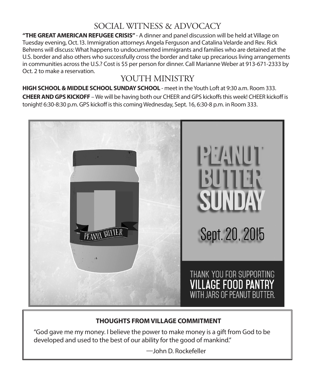## SOCIAL WITNESS & ADVOCACY

**"THE GREAT AMERICAN REFUGEE CRISIS"** - A dinner and panel discussion will be held at Village on Tuesday evening, Oct. 13. Immigration attorneys Angela Ferguson and Catalina Velarde and Rev. Rick Behrens will discuss: What happens to undocumented immigrants and families who are detained at the U.S. border and also others who successfully cross the border and take up precarious living arrangements in communities across the U.S.? Cost is \$5 per person for dinner. Call Marianne Weber at 913-671-2333 by Oct. 2 to make a reservation.

## YOUTH MINISTRY

**HIGH SCHOOL & MIDDLE SCHOOL SUNDAY SCHOOL** - meet in the Youth Loft at 9:30 a.m. Room 333. **CHEER AND GPS KICKOFF** – We will be having both our CHEER and GPS kickoffs this week! CHEER kickoff is tonight! 6:30-8:30 p.m. GPS kickoff is this coming Wednesday, Sept. 16, 6:30-8 p.m. in Room 333.



### **THOUGHTS FROM VILLAGE COMMITMENT**

"God gave me my money. I believe the power to make money is a gift from God to be developed and used to the best of our ability for the good of mankind."

—John D. Rockefeller